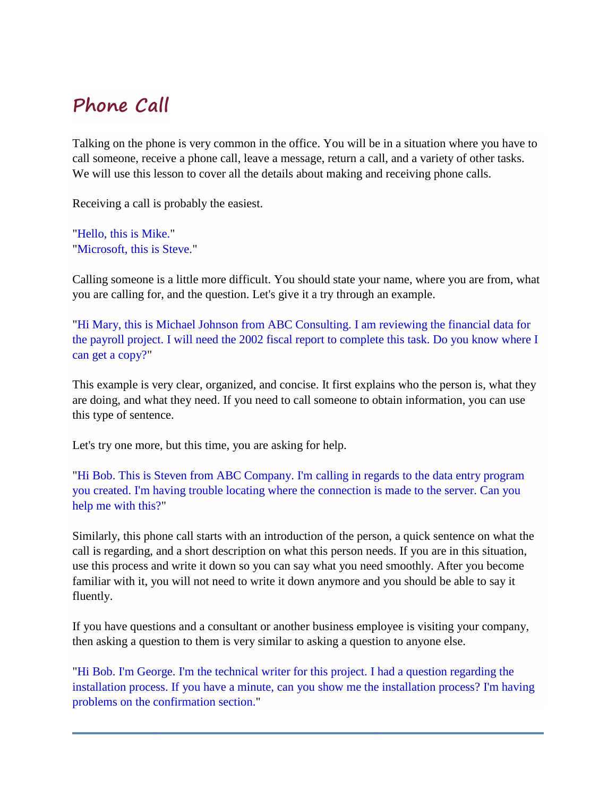# **Phone Call**

Talking on the phone is very common in the office. You will be in a situation where you have to call someone, receive a phone call, leave a message, return a call, and a variety of other tasks. We will use this lesson to cover all the details about making and receiving phone calls.

Receiving a call is probably the easiest.

"Hello, this is Mike." "Microsoft, this is Steve."

Calling someone is a little more difficult. You should state your name, where you are from, what you are calling for, and the question. Let's give it a try through an example.

"Hi Mary, this is Michael Johnson from ABC Consulting. I am reviewing the financial data for the payroll project. I will need the 2002 fiscal report to complete this task. Do you know where I can get a copy?"

This example is very clear, organized, and concise. It first explains who the person is, what they are doing, and what they need. If you need to call someone to obtain information, you can use this type of sentence.

Let's try one more, but this time, you are asking for help.

"Hi Bob. This is Steven from ABC Company. I'm calling in regards to the data entry program you created. I'm having trouble locating where the connection is made to the server. Can you help me with this?"

Similarly, this phone call starts with an introduction of the person, a quick sentence on what the call is regarding, and a short description on what this person needs. If you are in this situation, use this process and write it down so you can say what you need smoothly. After you become familiar with it, you will not need to write it down anymore and you should be able to say it fluently.

If you have questions and a consultant or another business employee is visiting your company, then asking a question to them is very similar to asking a question to anyone else.

"Hi Bob. I'm George. I'm the technical writer for this project. I had a question regarding the installation process. If you have a minute, can you show me the installation process? I'm having problems on the confirmation section."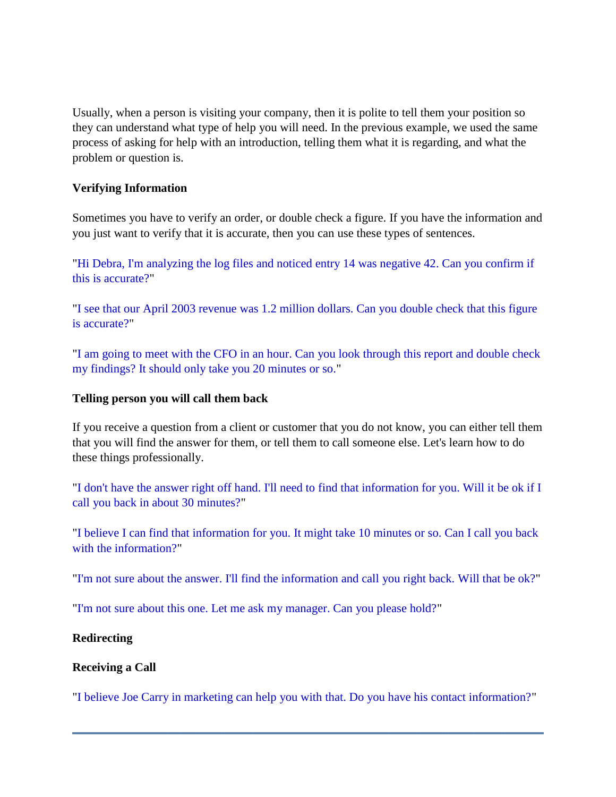Usually, when a person is visiting your company, then it is polite to tell them your position so they can understand what type of help you will need. In the previous example, we used the same process of asking for help with an introduction, telling them what it is regarding, and what the problem or question is.

## **Verifying Information**

Sometimes you have to verify an order, or double check a figure. If you have the information and you just want to verify that it is accurate, then you can use these types of sentences.

"Hi Debra, I'm analyzing the log files and noticed entry 14 was negative 42. Can you confirm if this is accurate?"

"I see that our April 2003 revenue was 1.2 million dollars. Can you double check that this figure is accurate?"

"I am going to meet with the CFO in an hour. Can you look through this report and double check my findings? It should only take you 20 minutes or so."

#### **Telling person you will call them back**

If you receive a question from a client or customer that you do not know, you can either tell them that you will find the answer for them, or tell them to call someone else. Let's learn how to do these things professionally.

"I don't have the answer right off hand. I'll need to find that information for you. Will it be ok if I call you back in about 30 minutes?"

"I believe I can find that information for you. It might take 10 minutes or so. Can I call you back with the information?"

"I'm not sure about the answer. I'll find the information and call you right back. Will that be ok?"

"I'm not sure about this one. Let me ask my manager. Can you please hold?"

#### **Redirecting**

#### **Receiving a Call**

"I believe Joe Carry in marketing can help you with that. Do you have his contact information?"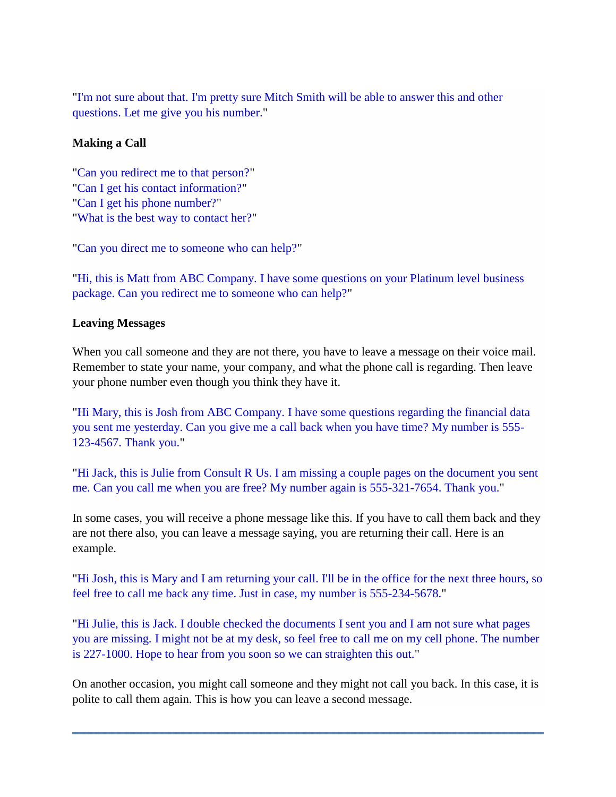"I'm not sure about that. I'm pretty sure Mitch Smith will be able to answer this and other questions. Let me give you his number."

# **Making a Call**

"Can you redirect me to that person?" "Can I get his contact information?" "Can I get his phone number?" "What is the best way to contact her?"

"Can you direct me to someone who can help?"

"Hi, this is Matt from ABC Company. I have some questions on your Platinum level business package. Can you redirect me to someone who can help?"

#### **Leaving Messages**

When you call someone and they are not there, you have to leave a message on their voice mail. Remember to state your name, your company, and what the phone call is regarding. Then leave your phone number even though you think they have it.

"Hi Mary, this is Josh from ABC Company. I have some questions regarding the financial data you sent me yesterday. Can you give me a call back when you have time? My number is 555- 123-4567. Thank you."

"Hi Jack, this is Julie from Consult R Us. I am missing a couple pages on the document you sent me. Can you call me when you are free? My number again is 555-321-7654. Thank you."

In some cases, you will receive a phone message like this. If you have to call them back and they are not there also, you can leave a message saying, you are returning their call. Here is an example.

"Hi Josh, this is Mary and I am returning your call. I'll be in the office for the next three hours, so feel free to call me back any time. Just in case, my number is 555-234-5678."

"Hi Julie, this is Jack. I double checked the documents I sent you and I am not sure what pages you are missing. I might not be at my desk, so feel free to call me on my cell phone. The number is 227-1000. Hope to hear from you soon so we can straighten this out."

On another occasion, you might call someone and they might not call you back. In this case, it is polite to call them again. This is how you can leave a second message.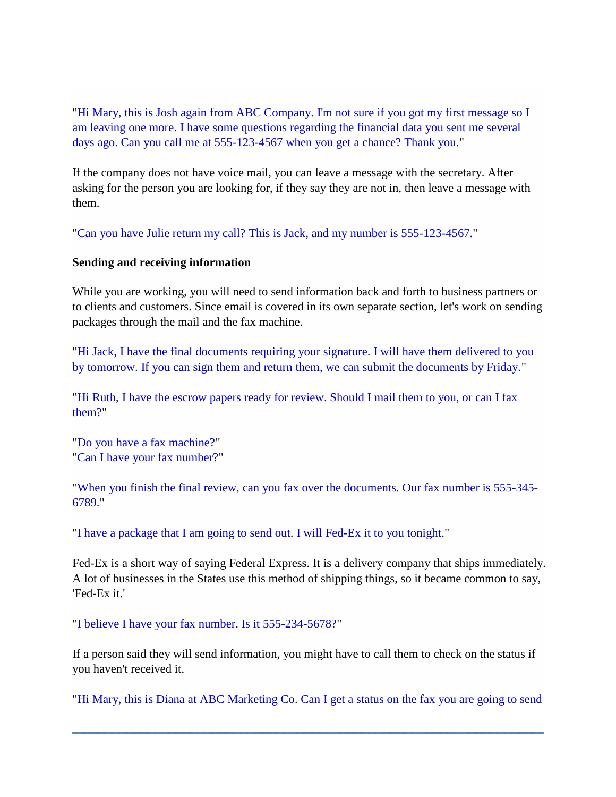"Hi Mary, this is Josh again from ABC Company. I'm not sure if you got my first message so I am leaving one more. I have some questions regarding the financial data you sent me several days ago. Can you call me at 555-123-4567 when you get a chance? Thank you."

If the company does not have voice mail, you can leave a message with the secretary. After asking for the person you are looking for, if they say they are not in, then leave a message with them.

"Can you have Julie return my call? This is Jack, and my number is 555-123-4567."

#### **Sending and receiving information**

While you are working, you will need to send information back and forth to business partners or to clients and customers. Since email is covered in its own separate section, let's work on sending packages through the mail and the fax machine.

"Hi Jack, I have the final documents requiring your signature. I will have them delivered to you by tomorrow. If you can sign them and return them, we can submit the documents by Friday."

"Hi Ruth, I have the escrow papers ready for review. Should I mail them to you, or can I fax them?"

"Do you have a fax machine?" "Can I have your fax number?"

"When you finish the final review, can you fax over the documents. Our fax number is 555-345- 6789."

"I have a package that I am going to send out. I will Fed-Ex it to you tonight."

Fed-Ex is a short way of saying Federal Express. It is a delivery company that ships immediately. A lot of businesses in the States use this method of shipping things, so it became common to say, 'Fed-Ex it.'

"I believe I have your fax number. Is it 555-234-5678?"

If a person said they will send information, you might have to call them to check on the status if you haven't received it.

"Hi Mary, this is Diana at ABC Marketing Co. Can I get a status on the fax you are going to send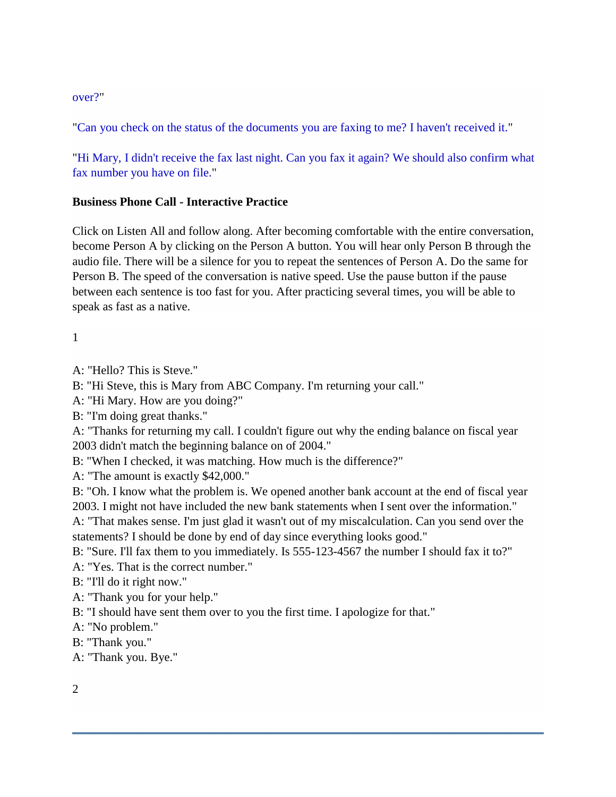## over?"

"Can you check on the status of the documents you are faxing to me? I haven't received it."

"Hi Mary, I didn't receive the fax last night. Can you fax it again? We should also confirm what fax number you have on file."

## **Business Phone Call - Interactive Practice**

Click on Listen All and follow along. After becoming comfortable with the entire conversation, become Person A by clicking on the Person A button. You will hear only Person B through the audio file. There will be a silence for you to repeat the sentences of Person A. Do the same for Person B. The speed of the conversation is native speed. Use the pause button if the pause between each sentence is too fast for you. After practicing several times, you will be able to speak as fast as a native.

1

A: "Hello? This is Steve."

B: "Hi Steve, this is Mary from ABC Company. I'm returning your call."

A: "Hi Mary. How are you doing?"

B: "I'm doing great thanks."

A: "Thanks for returning my call. I couldn't figure out why the ending balance on fiscal year 2003 didn't match the beginning balance on of 2004."

B: "When I checked, it was matching. How much is the difference?"

A: "The amount is exactly \$42,000."

B: "Oh. I know what the problem is. We opened another bank account at the end of fiscal year 2003. I might not have included the new bank statements when I sent over the information."

A: "That makes sense. I'm just glad it wasn't out of my miscalculation. Can you send over the statements? I should be done by end of day since everything looks good."

B: "Sure. I'll fax them to you immediately. Is 555-123-4567 the number I should fax it to?"

A: "Yes. That is the correct number."

B: "I'll do it right now."

A: "Thank you for your help."

B: "I should have sent them over to you the first time. I apologize for that."

A: "No problem."

B: "Thank you."

A: "Thank you. Bye."